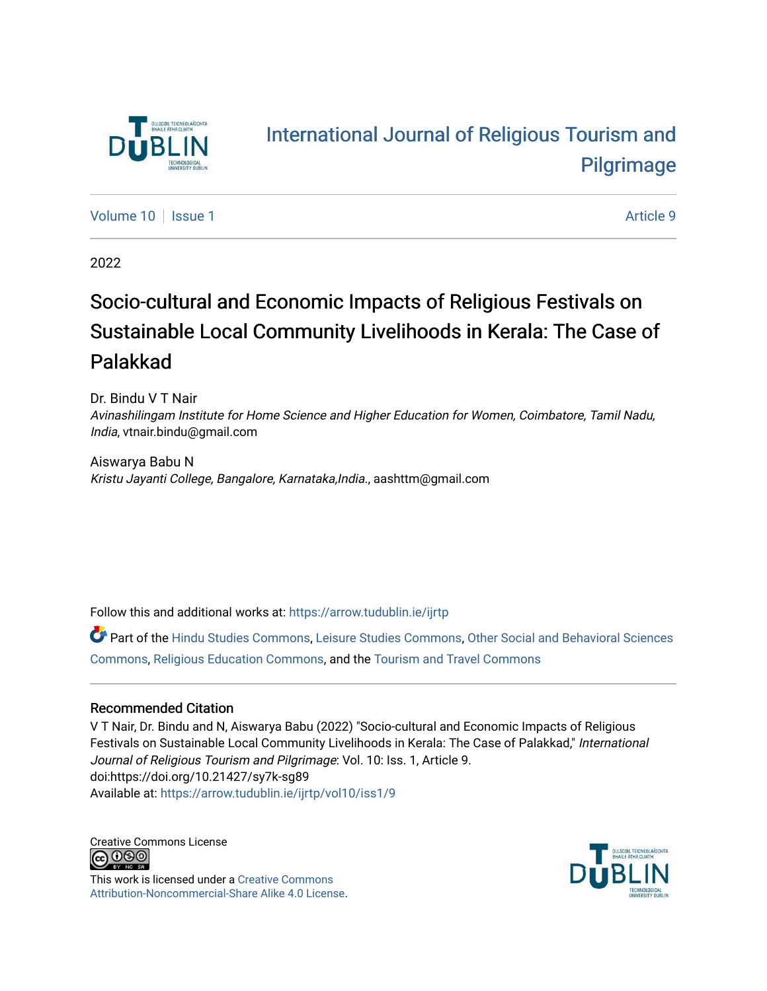

# [International Journal of Religious Tourism and](https://arrow.tudublin.ie/ijrtp)  [Pilgrimage](https://arrow.tudublin.ie/ijrtp)

[Volume 10](https://arrow.tudublin.ie/ijrtp/vol10) | [Issue 1](https://arrow.tudublin.ie/ijrtp/vol10/iss1) Article 9

2022

# Socio-cultural and Economic Impacts of Religious Festivals on Sustainable Local Community Livelihoods in Kerala: The Case of Palakkad

Dr. Bindu V T Nair Avinashilingam Institute for Home Science and Higher Education for Women, Coimbatore, Tamil Nadu, India, vtnair.bindu@gmail.com

Aiswarya Babu N Kristu Jayanti College, Bangalore, Karnataka,India., aashttm@gmail.com

Follow this and additional works at: [https://arrow.tudublin.ie/ijrtp](https://arrow.tudublin.ie/ijrtp?utm_source=arrow.tudublin.ie%2Fijrtp%2Fvol10%2Fiss1%2F9&utm_medium=PDF&utm_campaign=PDFCoverPages)

Part of the [Hindu Studies Commons,](https://network.bepress.com/hgg/discipline/1345?utm_source=arrow.tudublin.ie%2Fijrtp%2Fvol10%2Fiss1%2F9&utm_medium=PDF&utm_campaign=PDFCoverPages) [Leisure Studies Commons,](https://network.bepress.com/hgg/discipline/1197?utm_source=arrow.tudublin.ie%2Fijrtp%2Fvol10%2Fiss1%2F9&utm_medium=PDF&utm_campaign=PDFCoverPages) [Other Social and Behavioral Sciences](https://network.bepress.com/hgg/discipline/437?utm_source=arrow.tudublin.ie%2Fijrtp%2Fvol10%2Fiss1%2F9&utm_medium=PDF&utm_campaign=PDFCoverPages)  [Commons](https://network.bepress.com/hgg/discipline/437?utm_source=arrow.tudublin.ie%2Fijrtp%2Fvol10%2Fiss1%2F9&utm_medium=PDF&utm_campaign=PDFCoverPages), [Religious Education Commons,](https://network.bepress.com/hgg/discipline/1414?utm_source=arrow.tudublin.ie%2Fijrtp%2Fvol10%2Fiss1%2F9&utm_medium=PDF&utm_campaign=PDFCoverPages) and the [Tourism and Travel Commons](https://network.bepress.com/hgg/discipline/1082?utm_source=arrow.tudublin.ie%2Fijrtp%2Fvol10%2Fiss1%2F9&utm_medium=PDF&utm_campaign=PDFCoverPages) 

### Recommended Citation

V T Nair, Dr. Bindu and N, Aiswarya Babu (2022) "Socio-cultural and Economic Impacts of Religious Festivals on Sustainable Local Community Livelihoods in Kerala: The Case of Palakkad," International Journal of Religious Tourism and Pilgrimage: Vol. 10: Iss. 1, Article 9. doi:https://doi.org/10.21427/sy7k-sg89 Available at: [https://arrow.tudublin.ie/ijrtp/vol10/iss1/9](https://arrow.tudublin.ie/ijrtp/vol10/iss1/9?utm_source=arrow.tudublin.ie%2Fijrtp%2Fvol10%2Fiss1%2F9&utm_medium=PDF&utm_campaign=PDFCoverPages)

Creative Commons License <u>@@@</u>

This work is licensed under a [Creative Commons](https://creativecommons.org/licenses/by-nc-sa/4.0/) [Attribution-Noncommercial-Share Alike 4.0 License](https://creativecommons.org/licenses/by-nc-sa/4.0/).

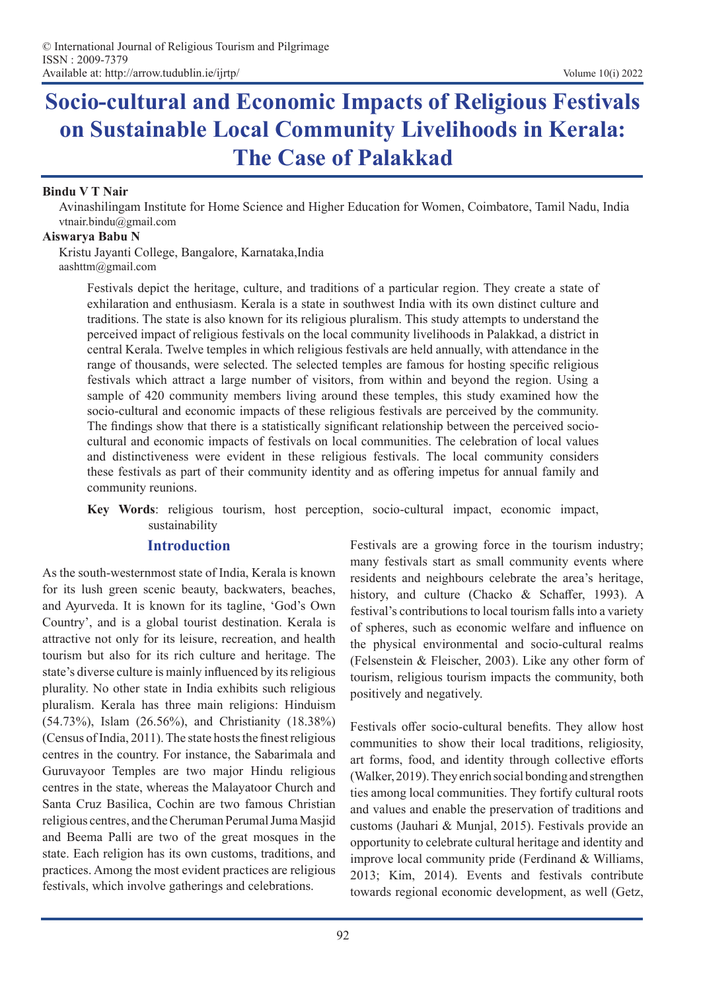# **Socio-cultural and Economic Impacts of Religious Festivals on Sustainable Local Community Livelihoods in Kerala: The Case of Palakkad**

### **Bindu V T Nair**

Avinashilingam Institute for Home Science and Higher Education for Women, Coimbatore, Tamil Nadu, India vtnair.bindu@gmail.com

### **Aiswarya Babu N**

Kristu Jayanti College, Bangalore, Karnataka,India aashttm@gmail.com

> Festivals depict the heritage, culture, and traditions of a particular region. They create a state of exhilaration and enthusiasm. Kerala is a state in southwest India with its own distinct culture and traditions. The state is also known for its religious pluralism. This study attempts to understand the perceived impact of religious festivals on the local community livelihoods in Palakkad, a district in central Kerala. Twelve temples in which religious festivals are held annually, with attendance in the range of thousands, were selected. The selected temples are famous for hosting specific religious festivals which attract a large number of visitors, from within and beyond the region. Using a sample of 420 community members living around these temples, this study examined how the socio-cultural and economic impacts of these religious festivals are perceived by the community. The findings show that there is a statistically significant relationship between the perceived sociocultural and economic impacts of festivals on local communities. The celebration of local values and distinctiveness were evident in these religious festivals. The local community considers these festivals as part of their community identity and as offering impetus for annual family and community reunions.

> **Key Words**: religious tourism, host perception, socio-cultural impact, economic impact, sustainability

### **Introduction**

As the south-westernmost state of India, Kerala is known for its lush green scenic beauty, backwaters, beaches, and Ayurveda. It is known for its tagline, 'God's Own Country', and is a global tourist destination. Kerala is attractive not only for its leisure, recreation, and health tourism but also for its rich culture and heritage. The state's diverse culture is mainly influenced by its religious plurality. No other state in India exhibits such religious pluralism. Kerala has three main religions: Hinduism (54.73%), Islam (26.56%), and Christianity (18.38%) (Census of India, 2011). The state hosts the finest religious centres in the country. For instance, the Sabarimala and Guruvayoor Temples are two major Hindu religious centres in the state, whereas the Malayatoor Church and Santa Cruz Basilica, Cochin are two famous Christian religious centres, and the Cheruman Perumal Juma Masjid and Beema Palli are two of the great mosques in the state. Each religion has its own customs, traditions, and practices. Among the most evident practices are religious festivals, which involve gatherings and celebrations.

Festivals are a growing force in the tourism industry; many festivals start as small community events where residents and neighbours celebrate the area's heritage, history, and culture (Chacko & Schaffer, 1993). A festival's contributions to local tourism falls into a variety of spheres, such as economic welfare and influence on the physical environmental and socio-cultural realms (Felsenstein & Fleischer, 2003). Like any other form of tourism, religious tourism impacts the community, both positively and negatively.

Festivals offer socio-cultural benefits. They allow host communities to show their local traditions, religiosity, art forms, food, and identity through collective efforts (Walker, 2019). They enrich social bonding and strengthen ties among local communities. They fortify cultural roots and values and enable the preservation of traditions and customs (Jauhari & Munjal, 2015). Festivals provide an opportunity to celebrate cultural heritage and identity and improve local community pride (Ferdinand & Williams, 2013; Kim, 2014). Events and festivals contribute towards regional economic development, as well (Getz,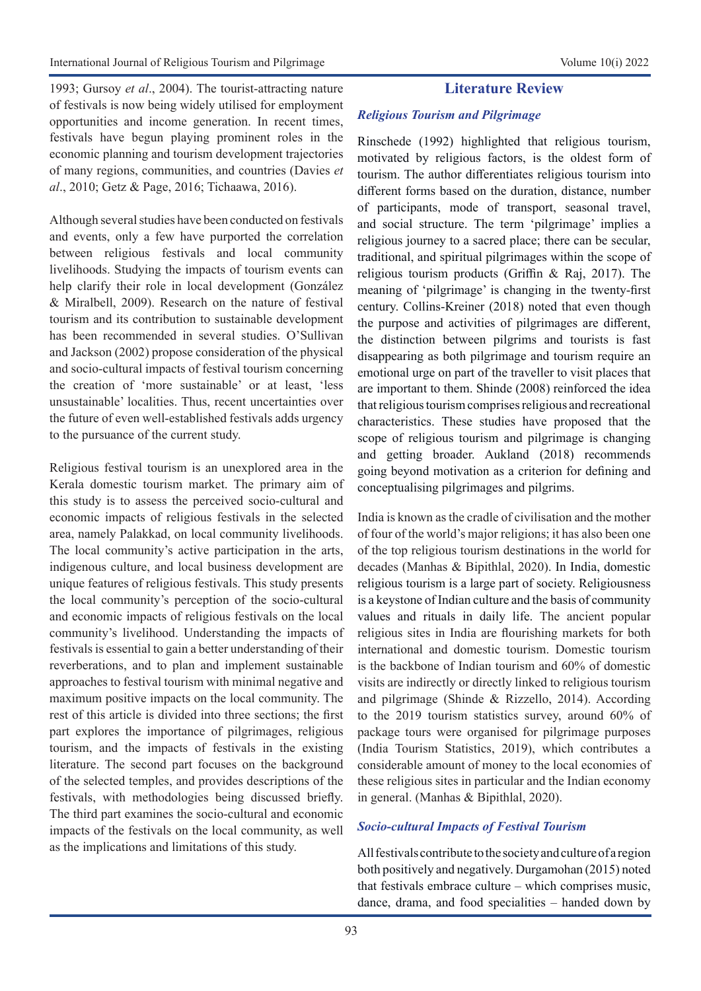1993; Gursoy *et al*., 2004). The tourist-attracting nature of festivals is now being widely utilised for employment opportunities and income generation. In recent times, festivals have begun playing prominent roles in the economic planning and tourism development trajectories of many regions, communities, and countries (Davies *et al*., 2010; Getz & Page, 2016; Tichaawa, 2016).

Although several studies have been conducted on festivals and events, only a few have purported the correlation between religious festivals and local community livelihoods. Studying the impacts of tourism events can help clarify their role in local development (González & Miralbell, 2009). Research on the nature of festival tourism and its contribution to sustainable development has been recommended in several studies. O'Sullivan and Jackson (2002) propose consideration of the physical and socio-cultural impacts of festival tourism concerning the creation of 'more sustainable' or at least, 'less unsustainable' localities. Thus, recent uncertainties over the future of even well-established festivals adds urgency to the pursuance of the current study.

Religious festival tourism is an unexplored area in the Kerala domestic tourism market. The primary aim of this study is to assess the perceived socio-cultural and economic impacts of religious festivals in the selected area, namely Palakkad, on local community livelihoods. The local community's active participation in the arts, indigenous culture, and local business development are unique features of religious festivals. This study presents the local community's perception of the socio-cultural and economic impacts of religious festivals on the local community's livelihood. Understanding the impacts of festivals is essential to gain a better understanding of their reverberations, and to plan and implement sustainable approaches to festival tourism with minimal negative and maximum positive impacts on the local community. The rest of this article is divided into three sections; the first part explores the importance of pilgrimages, religious tourism, and the impacts of festivals in the existing literature. The second part focuses on the background of the selected temples, and provides descriptions of the festivals, with methodologies being discussed briefly. The third part examines the socio-cultural and economic impacts of the festivals on the local community, as well as the implications and limitations of this study.

## **Literature Review**

### *Religious Tourism and Pilgrimage*

Rinschede (1992) highlighted that religious tourism, motivated by religious factors, is the oldest form of tourism. The author differentiates religious tourism into different forms based on the duration, distance, number of participants, mode of transport, seasonal travel, and social structure. The term 'pilgrimage' implies a religious journey to a sacred place; there can be secular, traditional, and spiritual pilgrimages within the scope of religious tourism products (Griffin & Raj, 2017). The meaning of 'pilgrimage' is changing in the twenty-first century. Collins-Kreiner (2018) noted that even though the purpose and activities of pilgrimages are different, the distinction between pilgrims and tourists is fast disappearing as both pilgrimage and tourism require an emotional urge on part of the traveller to visit places that are important to them. Shinde (2008) reinforced the idea that religious tourism comprises religious and recreational characteristics. These studies have proposed that the scope of religious tourism and pilgrimage is changing and getting broader. Aukland (2018) recommends going beyond motivation as a criterion for defining and conceptualising pilgrimages and pilgrims.

India is known as the cradle of civilisation and the mother of four of the world's major religions; it has also been one of the top religious tourism destinations in the world for decades (Manhas & Bipithlal, 2020). In India, domestic religious tourism is a large part of society. Religiousness is a keystone of Indian culture and the basis of community values and rituals in daily life. The ancient popular religious sites in India are flourishing markets for both international and domestic tourism. Domestic tourism is the backbone of Indian tourism and 60% of domestic visits are indirectly or directly linked to religious tourism and pilgrimage (Shinde & Rizzello, 2014). According to the 2019 tourism statistics survey, around 60% of package tours were organised for pilgrimage purposes (India Tourism Statistics, 2019), which contributes a considerable amount of money to the local economies of these religious sites in particular and the Indian economy in general. (Manhas & Bipithlal, 2020).

### *Socio-cultural Impacts of Festival Tourism*

All festivals contribute to the society and culture of a region both positively and negatively. Durgamohan (2015) noted that festivals embrace culture – which comprises music, dance, drama, and food specialities – handed down by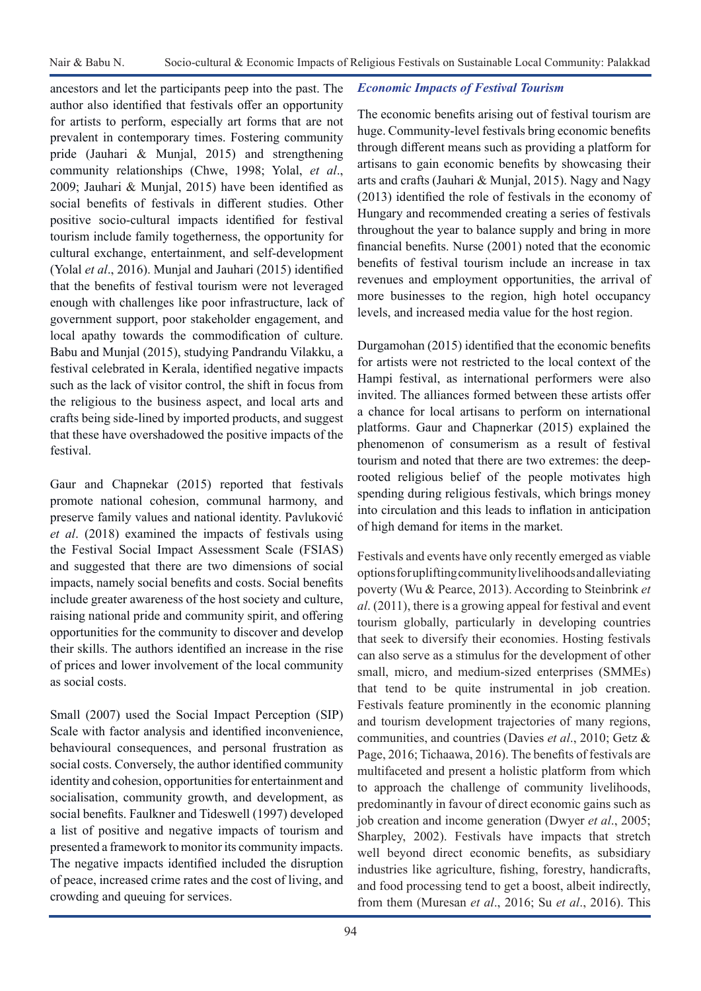ancestors and let the participants peep into the past. The author also identified that festivals offer an opportunity for artists to perform, especially art forms that are not prevalent in contemporary times. Fostering community pride (Jauhari & Munjal, 2015) and strengthening community relationships (Chwe, 1998; Yolal, *et al*., 2009; Jauhari & Munjal, 2015) have been identified as social benefits of festivals in different studies. Other positive socio-cultural impacts identified for festival tourism include family togetherness, the opportunity for cultural exchange, entertainment, and self-development (Yolal *et al*., 2016). Munjal and Jauhari (2015) identified that the benefits of festival tourism were not leveraged enough with challenges like poor infrastructure, lack of government support, poor stakeholder engagement, and local apathy towards the commodification of culture. Babu and Munjal (2015), studying Pandrandu Vilakku, a festival celebrated in Kerala, identified negative impacts such as the lack of visitor control, the shift in focus from the religious to the business aspect, and local arts and crafts being side-lined by imported products, and suggest that these have overshadowed the positive impacts of the festival.

Gaur and Chapnekar (2015) reported that festivals promote national cohesion, communal harmony, and preserve family values and national identity. Pavluković *et al*. (2018) examined the impacts of festivals using the Festival Social Impact Assessment Scale (FSIAS) and suggested that there are two dimensions of social impacts, namely social benefits and costs. Social benefits include greater awareness of the host society and culture, raising national pride and community spirit, and offering opportunities for the community to discover and develop their skills. The authors identified an increase in the rise of prices and lower involvement of the local community as social costs.

Small (2007) used the Social Impact Perception (SIP) Scale with factor analysis and identified inconvenience, behavioural consequences, and personal frustration as social costs. Conversely, the author identified community identity and cohesion, opportunities for entertainment and socialisation, community growth, and development, as social benefits. Faulkner and Tideswell (1997) developed a list of positive and negative impacts of tourism and presented a framework to monitor its community impacts. The negative impacts identified included the disruption of peace, increased crime rates and the cost of living, and crowding and queuing for services.

### *Economic Impacts of Festival Tourism*

The economic benefits arising out of festival tourism are huge. Community-level festivals bring economic benefits through different means such as providing a platform for artisans to gain economic benefits by showcasing their arts and crafts (Jauhari & Munjal, 2015). Nagy and Nagy (2013) identified the role of festivals in the economy of Hungary and recommended creating a series of festivals throughout the year to balance supply and bring in more financial benefits. Nurse (2001) noted that the economic benefits of festival tourism include an increase in tax revenues and employment opportunities, the arrival of more businesses to the region, high hotel occupancy levels, and increased media value for the host region.

Durgamohan (2015) identified that the economic benefits for artists were not restricted to the local context of the Hampi festival, as international performers were also invited. The alliances formed between these artists offer a chance for local artisans to perform on international platforms. Gaur and Chapnerkar (2015) explained the phenomenon of consumerism as a result of festival tourism and noted that there are two extremes: the deeprooted religious belief of the people motivates high spending during religious festivals, which brings money into circulation and this leads to inflation in anticipation of high demand for items in the market.

Festivals and events have only recently emerged as viable options for uplifting community livelihoods and alleviating poverty (Wu & Pearce, 2013). According to Steinbrink *et al*. (2011), there is a growing appeal for festival and event tourism globally, particularly in developing countries that seek to diversify their economies. Hosting festivals can also serve as a stimulus for the development of other small, micro, and medium-sized enterprises (SMMEs) that tend to be quite instrumental in job creation. Festivals feature prominently in the economic planning and tourism development trajectories of many regions, communities, and countries (Davies *et al*., 2010; Getz & Page, 2016; Tichaawa, 2016). The benefits of festivals are multifaceted and present a holistic platform from which to approach the challenge of community livelihoods, predominantly in favour of direct economic gains such as job creation and income generation (Dwyer *et al*., 2005; Sharpley, 2002). Festivals have impacts that stretch well beyond direct economic benefits, as subsidiary industries like agriculture, fishing, forestry, handicrafts, and food processing tend to get a boost, albeit indirectly, from them (Muresan *et al*., 2016; Su *et al*., 2016). This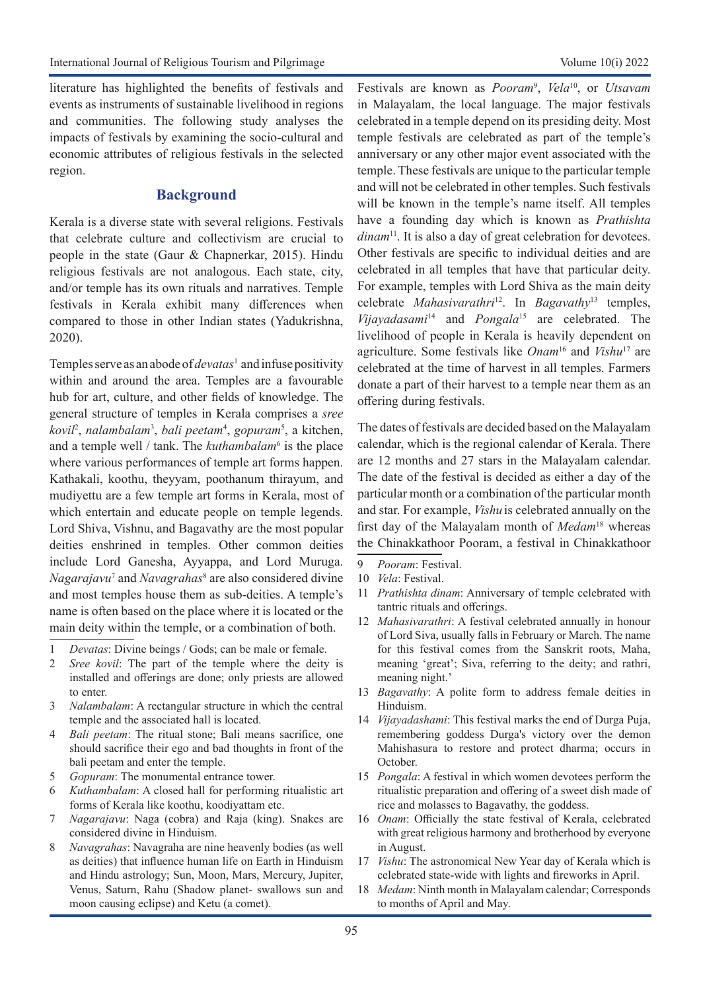literature has highlighted the benefits of festivals and events as instruments of sustainable livelihood in regions and communities. The following study analyses the impacts of festivals by examining the socio-cultural and economic attributes of religious festivals in the selected region.

### **Background**

Kerala is a diverse state with several religions. Festivals that celebrate culture and collectivism are crucial to people in the state (Gaur & Chapnerkar, 2015). Hindu religious festivals are not analogous. Each state, city, and/or temple has its own rituals and narratives. Temple festivals in Kerala exhibit many differences when compared to those in other Indian states (Yadukrishna, 2020).

Temples serve as an abode of *devatas*<sup>1</sup> and infuse positivity within and around the area. Temples are a favourable hub for art, culture, and other fields of knowledge. The general structure of temples in Kerala comprises a *sree kovil*<sup>2</sup> , *nalambalam*<sup>3</sup> , *bali peetam*<sup>4</sup> , *gopuram*<sup>5</sup> , a kitchen, and a temple well / tank. The *kuthambalam*<sup>6</sup> is the place where various performances of temple art forms happen. Kathakali, koothu, theyyam, poothanum thirayum, and mudiyettu are a few temple art forms in Kerala, most of which entertain and educate people on temple legends. Lord Shiva, Vishnu, and Bagavathy are the most popular deities enshrined in temples. Other common deities include Lord Ganesha, Ayyappa, and Lord Muruga. *Nagarajavu*<sup>7</sup> and *Navagrahas*<sup>8</sup> are also considered divine and most temples house them as sub-deities. A temple's name is often based on the place where it is located or the main deity within the temple, or a combination of both.

- 1 *Devatas*: Divine beings / Gods; can be male or female.
- 2 *Sree kovil*: The part of the temple where the deity is installed and offerings are done; only priests are allowed to enter.
- 3 *Nalambalam*: A rectangular structure in which the central temple and the associated hall is located.
- 4 *Bali peetam*: The ritual stone; Bali means sacrifice, one should sacrifice their ego and bad thoughts in front of the bali peetam and enter the temple.
- 5 *Gopuram*: The monumental entrance tower.
- 6 *Kuthambalam*: A closed hall for performing ritualistic art forms of Kerala like koothu, koodiyattam etc.
- 7 *Nagarajavu*: Naga (cobra) and Raja (king). Snakes are considered divine in Hinduism.
- 8 *Navagrahas*: Navagraha are nine heavenly bodies (as well as deities) that influence human life on Earth in Hinduism and Hindu astrology; Sun, Moon, Mars, Mercury, Jupiter, Venus, Saturn, Rahu (Shadow planet- swallows sun and moon causing eclipse) and Ketu (a comet).

Festivals are known as *Pooram*<sup>9</sup> , *Vela*10, or *Utsavam* in Malayalam, the local language. The major festivals celebrated in a temple depend on its presiding deity. Most temple festivals are celebrated as part of the temple's anniversary or any other major event associated with the temple. These festivals are unique to the particular temple and will not be celebrated in other temples. Such festivals will be known in the temple's name itself. All temples have a founding day which is known as *Prathishta dinam*<sup>11</sup>. It is also a day of great celebration for devotees. Other festivals are specific to individual deities and are celebrated in all temples that have that particular deity. For example, temples with Lord Shiva as the main deity celebrate *Mahasivarathri*12. In *Bagavathy*13 temples, *Vijayadasami*14 and *Pongala*15 are celebrated. The livelihood of people in Kerala is heavily dependent on agriculture. Some festivals like *Onam*16 and *Vishu*17 are celebrated at the time of harvest in all temples. Farmers donate a part of their harvest to a temple near them as an offering during festivals.

The dates of festivals are decided based on the Malayalam calendar, which is the regional calendar of Kerala. There are 12 months and 27 stars in the Malayalam calendar. The date of the festival is decided as either a day of the particular month or a combination of the particular month and star. For example, *Vishu* is celebrated annually on the first day of the Malayalam month of *Medam*18 whereas the Chinakkathoor Pooram, a festival in Chinakkathoor

- 10 *Vela*: Festival.
- 11 *Prathishta dinam*: Anniversary of temple celebrated with tantric rituals and offerings.
- 12 *Mahasivarathri*: A festival celebrated annually in honour of Lord Siva, usually falls in February or March. The name for this festival comes from the Sanskrit roots, Maha, meaning 'great'; Siva, referring to the deity; and rathri, meaning night.'
- 13 *Bagavathy*: A polite form to address female deities in Hinduism.
- 14 *Vijayadashami*: This festival marks the end of Durga Puja, remembering goddess [Durga](https://en.wikipedia.org/wiki/Durga)'s victory over the demon Mahishasura to restore and protect dharma; occurs in October.
- 15 *Pongala*: A festival in which women devotees perform the ritualistic preparation and offering of a sweet dish made of rice and molasses to Bagavathy, the goddess.
- 16 *Onam*: Officially the state festival of Kerala, celebrated with great religious harmony and brotherhood by everyone in August.
- 17 *Vishu*: The astronomical New Year day of Kerala which is celebrated state-wide with lights and fireworks in April.
- 18 *Medam*: Ninth month in Malayalam calendar; Corresponds to months of April and May.

<sup>9</sup> *Pooram*: Festival.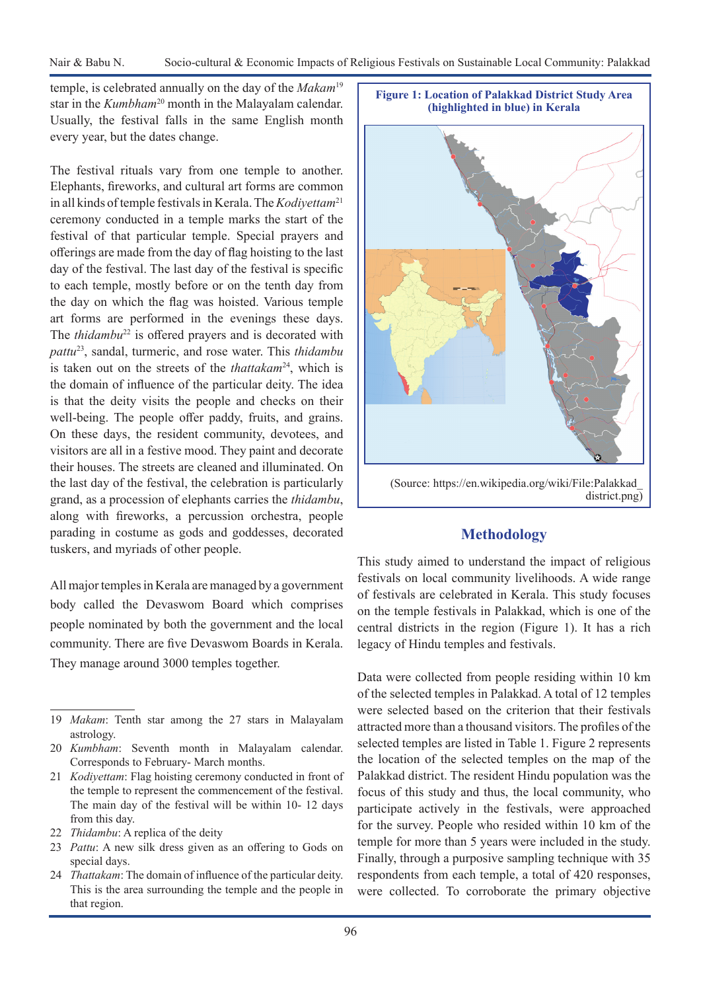temple, is celebrated annually on the day of the *Makam*<sup>19</sup> star in the *Kumbham*20 month in the Malayalam calendar. Usually, the festival falls in the same English month every year, but the dates change.

The festival rituals vary from one temple to another. Elephants, fireworks, and cultural art forms are common in all kinds of temple festivals in Kerala. The *Kodiyettam*<sup>21</sup> ceremony conducted in a temple marks the start of the festival of that particular temple. Special prayers and offerings are made from the day of flag hoisting to the last day of the festival. The last day of the festival is specific to each temple, mostly before or on the tenth day from the day on which the flag was hoisted. Various temple art forms are performed in the evenings these days. The *thidambu*<sup>22</sup> is offered prayers and is decorated with *pattu*23, sandal, turmeric, and rose water. This *thidambu*  is taken out on the streets of the *thattakam*<sup>24</sup>, which is the domain of influence of the particular deity. The idea is that the deity visits the people and checks on their well-being. The people offer paddy, fruits, and grains. On these days, the resident community, devotees, and visitors are all in a festive mood. They paint and decorate their houses. The streets are cleaned and illuminated. On the last day of the festival, the celebration is particularly grand, as a procession of elephants carries the *thidambu*, along with fireworks, a percussion orchestra, people parading in costume as gods and goddesses, decorated tuskers, and myriads of other people.

All major temples in Kerala are managed by a government body called the Devaswom Board which comprises people nominated by both the government and the local community. There are five Devaswom Boards in Kerala. They manage around 3000 temples together.

- 21 *Kodiyettam*: Flag hoisting ceremony conducted in front of the temple to represent the commencement of the festival. The main day of the festival will be within 10- 12 days from this day.
- 22 *Thidambu*: A replica of the deity
- 23 *Pattu*: A new silk dress given as an offering to Gods on special days.
- 24 *Thattakam*: The domain of influence of the particular deity. This is the area surrounding the temple and the people in that region.

**Figure 1: Location of Palakkad District Study Area (highlighted in blue) in Kerala**



### **Methodology**

This study aimed to understand the impact of religious festivals on local community livelihoods. A wide range of festivals are celebrated in Kerala. This study focuses on the temple festivals in Palakkad, which is one of the central districts in the region (Figure 1). It has a rich legacy of Hindu temples and festivals.

Data were collected from people residing within 10 km of the selected temples in Palakkad. A total of 12 temples were selected based on the criterion that their festivals attracted more than a thousand visitors. The profiles of the selected temples are listed in Table 1. Figure 2 represents the location of the selected temples on the map of the Palakkad district. The resident Hindu population was the focus of this study and thus, the local community, who participate actively in the festivals, were approached for the survey. People who resided within 10 km of the temple for more than 5 years were included in the study. Finally, through a purposive sampling technique with 35 respondents from each temple, a total of 420 responses, were collected. To corroborate the primary objective

<sup>19</sup> *Makam*: Tenth star among the 27 stars in Malayalam astrology.

<sup>20</sup> *Kumbham*: Seventh month in Malayalam calendar. Corresponds to February- March months.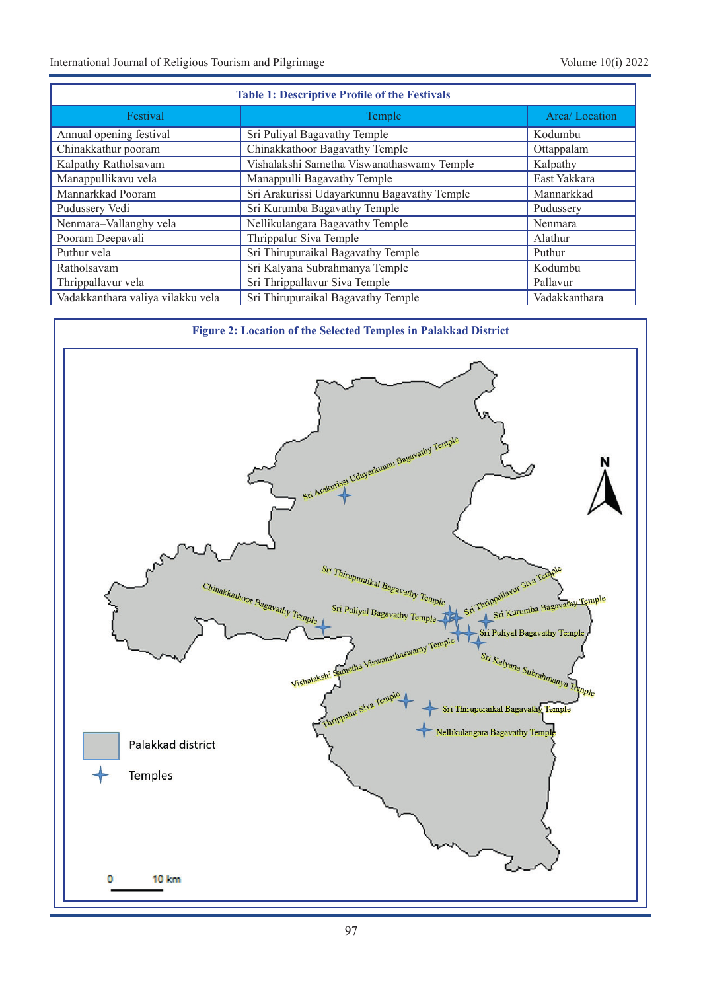| <b>Table 1: Descriptive Profile of the Festivals</b> |                                             |               |  |
|------------------------------------------------------|---------------------------------------------|---------------|--|
| Festival                                             | Temple                                      | Area/Location |  |
| Annual opening festival                              | Sri Puliyal Bagavathy Temple                | Kodumbu       |  |
| Chinakkathur pooram                                  | Chinakkathoor Bagavathy Temple              | Ottappalam    |  |
| Kalpathy Ratholsavam                                 | Vishalakshi Sametha Viswanathaswamy Temple  | Kalpathy      |  |
| Manappullikavu vela                                  | Manappulli Bagavathy Temple                 | East Yakkara  |  |
| Mannarkkad Pooram                                    | Sri Arakurissi Udayarkunnu Bagavathy Temple | Mannarkkad    |  |
| Pudussery Vedi                                       | Sri Kurumba Bagavathy Temple                | Pudussery     |  |
| Nenmara-Vallanghy vela                               | Nellikulangara Bagavathy Temple             | Nenmara       |  |
| Pooram Deepavali                                     | Thrippalur Siva Temple                      | Alathur       |  |
| Puthur vela                                          | Sri Thirupuraikal Bagavathy Temple          | Puthur        |  |
| Ratholsavam                                          | Sri Kalyana Subrahmanya Temple              | Kodumbu       |  |
| Thrippallavur vela                                   | Sri Thrippallavur Siva Temple               | Pallavur      |  |
| Vadakkanthara valiya vilakku vela                    | Sri Thirupuraikal Bagavathy Temple          | Vadakkanthara |  |

**Figure 2: Location of the Selected Temples in Palakkad District**

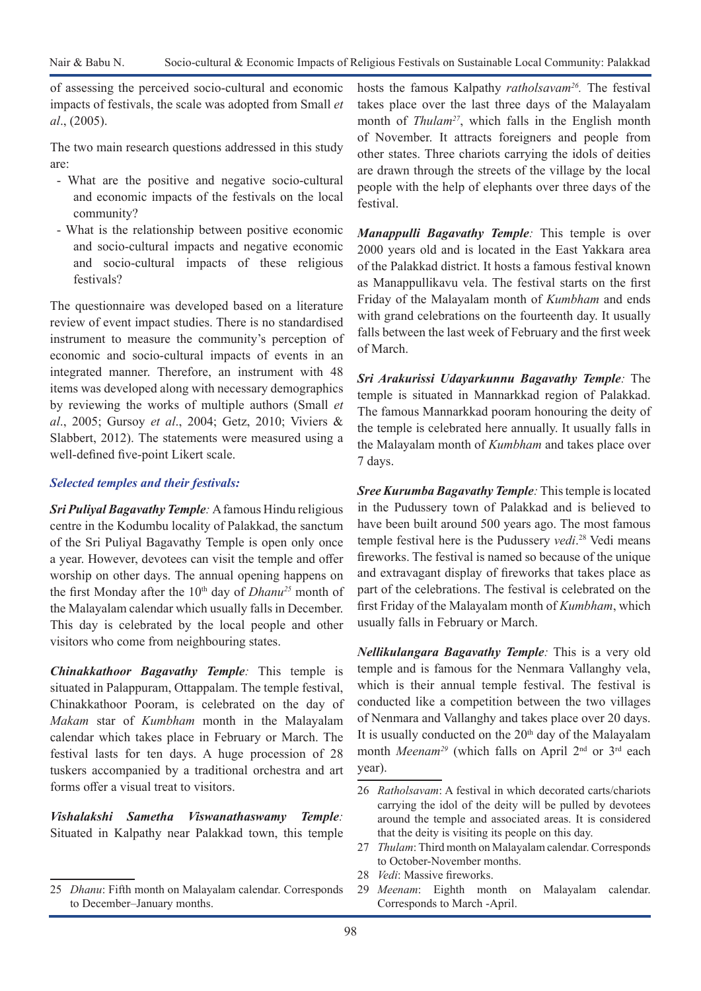of assessing the perceived socio-cultural and economic impacts of festivals, the scale was adopted from Small *et al*., (2005).

The two main research questions addressed in this study are:

- What are the positive and negative socio-cultural and economic impacts of the festivals on the local community?
- What is the relationship between positive economic and socio-cultural impacts and negative economic and socio-cultural impacts of these religious festivals?

The questionnaire was developed based on a literature review of event impact studies. There is no standardised instrument to measure the community's perception of economic and socio-cultural impacts of events in an integrated manner. Therefore, an instrument with 48 items was developed along with necessary demographics by reviewing the works of multiple authors (Small *et al*., 2005; Gursoy *et al*., 2004; Getz, 2010; Viviers & Slabbert, 2012). The statements were measured using a well-defined five-point Likert scale.

### *Selected temples and their festivals:*

*Sri Puliyal Bagavathy Temple:* A famous Hindu religious centre in the Kodumbu locality of Palakkad, the sanctum of the Sri Puliyal Bagavathy Temple is open only once a year. However, devotees can visit the temple and offer worship on other days. The annual opening happens on the first Monday after the 10<sup>th</sup> day of *Dhanu<sup>25</sup>* month of the Malayalam calendar which usually falls in December. This day is celebrated by the local people and other visitors who come from neighbouring states.

*Chinakkathoor Bagavathy Temple:* This temple is situated in Palappuram, Ottappalam. The temple festival, Chinakkathoor Pooram, is celebrated on the day of *Makam* star of *Kumbham* month in the Malayalam calendar which takes place in February or March. The festival lasts for ten days. A huge procession of 28 tuskers accompanied by a traditional orchestra and art forms offer a visual treat to visitors.

*Vishalakshi Sametha Viswanathaswamy Temple:* Situated in Kalpathy near Palakkad town, this temple hosts the famous Kalpathy *ratholsavam26.* The festival takes place over the last three days of the Malayalam month of *Thulam27*, which falls in the English month of November. It attracts foreigners and people from other states. Three chariots carrying the idols of deities are drawn through the streets of the village by the local people with the help of elephants over three days of the festival.

*Manappulli Bagavathy Temple:* This temple is over 2000 years old and is located in the East Yakkara area of the Palakkad district. It hosts a famous festival known as Manappullikavu vela. The festival starts on the first Friday of the Malayalam month of *Kumbham* and ends with grand celebrations on the fourteenth day. It usually falls between the last week of February and the first week of March.

*Sri Arakurissi Udayarkunnu Bagavathy Temple:* The temple is situated in Mannarkkad region of Palakkad. The famous Mannarkkad pooram honouring the deity of the temple is celebrated here annually. It usually falls in the Malayalam month of *Kumbham* and takes place over 7 days.

*Sree Kurumba Bagavathy Temple:* This temple is located in the Pudussery town of Palakkad and is believed to have been built around 500 years ago. The most famous temple festival here is the Pudussery *vedi*. 28 Vedi means fireworks. The festival is named so because of the unique and extravagant display of fireworks that takes place as part of the celebrations. The festival is celebrated on the first Friday of the Malayalam month of *Kumbham*, which usually falls in February or March.

*Nellikulangara Bagavathy Temple:* This is a very old temple and is famous for the Nenmara Vallanghy vela, which is their annual temple festival. The festival is conducted like a competition between the two villages of Nenmara and Vallanghy and takes place over 20 days. It is usually conducted on the  $20<sup>th</sup>$  day of the Malayalam month *Meenam<sup>29</sup>* (which falls on April 2<sup>nd</sup> or 3<sup>rd</sup> each year).

- 27 *Thulam*: Third month on Malayalam calendar. Corresponds to October-November months.
- 28 *Vedi*: Massive fireworks.
- 29 *Meenam*: Eighth month on Malayalam calendar. Corresponds to March -April.

<sup>25</sup> *Dhanu*: Fifth month on Malayalam calendar. Corresponds to December–January months.

<sup>26</sup> *Ratholsavam*: A festival in which decorated carts/chariots carrying the idol of the deity will be pulled by devotees around the temple and associated areas. It is considered that the deity is visiting its people on this day.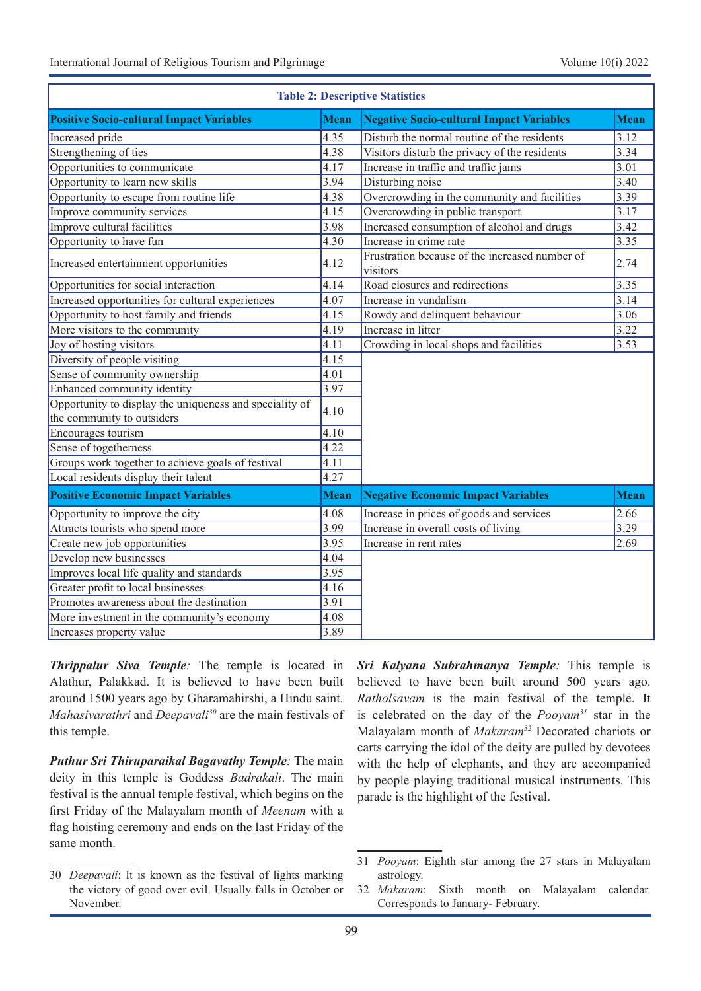| <b>Table 2: Descriptive Statistics</b>                                                |             |                                                            |             |  |  |
|---------------------------------------------------------------------------------------|-------------|------------------------------------------------------------|-------------|--|--|
| <b>Positive Socio-cultural Impact Variables</b>                                       | <b>Mean</b> | <b>Negative Socio-cultural Impact Variables</b>            | <b>Mean</b> |  |  |
| Increased pride                                                                       | 4.35        | Disturb the normal routine of the residents                | 3.12        |  |  |
| Strengthening of ties                                                                 | 4.38        | Visitors disturb the privacy of the residents              | 3.34        |  |  |
| Opportunities to communicate                                                          | 4.17        | Increase in traffic and traffic jams                       | 3.01        |  |  |
| Opportunity to learn new skills                                                       | 3.94        | Disturbing noise                                           | 3.40        |  |  |
| Opportunity to escape from routine life                                               | 4.38        | Overcrowding in the community and facilities               | 3.39        |  |  |
| Improve community services                                                            | 4.15        | Overcrowding in public transport                           | 3.17        |  |  |
| Improve cultural facilities                                                           | 3.98        | Increased consumption of alcohol and drugs                 | 3.42        |  |  |
| Opportunity to have fun                                                               | 4.30        | Increase in crime rate                                     | 3.35        |  |  |
| Increased entertainment opportunities                                                 | 4.12        | Frustration because of the increased number of<br>visitors | 2.74        |  |  |
| Opportunities for social interaction                                                  | 4.14        | Road closures and redirections                             | 3.35        |  |  |
| Increased opportunities for cultural experiences                                      | 4.07        | Increase in vandalism                                      | 3.14        |  |  |
| Opportunity to host family and friends                                                | 4.15        | Rowdy and delinquent behaviour                             | 3.06        |  |  |
| More visitors to the community                                                        | 4.19        | Increase in litter                                         | 3.22        |  |  |
| Joy of hosting visitors                                                               | 4.11        | Crowding in local shops and facilities                     | 3.53        |  |  |
| Diversity of people visiting                                                          | 4.15        |                                                            |             |  |  |
| Sense of community ownership                                                          | 4.01        |                                                            |             |  |  |
| Enhanced community identity                                                           | 3.97        |                                                            |             |  |  |
| Opportunity to display the uniqueness and speciality of<br>the community to outsiders | 4.10        |                                                            |             |  |  |
| Encourages tourism                                                                    | 4.10        |                                                            |             |  |  |
| Sense of togetherness                                                                 | 4.22        |                                                            |             |  |  |
| Groups work together to achieve goals of festival                                     | 4.11        |                                                            |             |  |  |
| Local residents display their talent                                                  | 4.27        |                                                            |             |  |  |
| <b>Positive Economic Impact Variables</b>                                             | <b>Mean</b> | <b>Negative Economic Impact Variables</b>                  | <b>Mean</b> |  |  |
| Opportunity to improve the city                                                       | 4.08        | Increase in prices of goods and services                   | 2.66        |  |  |
| Attracts tourists who spend more                                                      | 3.99        | Increase in overall costs of living                        | 3.29        |  |  |
| Create new job opportunities                                                          | 3.95        | Increase in rent rates                                     | 2.69        |  |  |
| Develop new businesses                                                                | 4.04        |                                                            |             |  |  |
| Improves local life quality and standards                                             | 3.95        |                                                            |             |  |  |
| Greater profit to local businesses                                                    | 4.16        |                                                            |             |  |  |
| Promotes awareness about the destination                                              | 3.91        |                                                            |             |  |  |
| More investment in the community's economy                                            | 4.08        |                                                            |             |  |  |
| Increases property value                                                              | 3.89        |                                                            |             |  |  |

*Thrippalur Siva Temple:* The temple is located in Alathur, Palakkad. It is believed to have been built around 1500 years ago by Gharamahirshi, a Hindu saint. *Mahasivarathri* and *Deepavali30* are the main festivals of this temple.

*Puthur Sri Thiruparaikal Bagavathy Temple:* The main deity in this temple is Goddess *Badrakali*. The main festival is the annual temple festival, which begins on the first Friday of the Malayalam month of *Meenam* with a flag hoisting ceremony and ends on the last Friday of the same month.

*Sri Kalyana Subrahmanya Temple:* This temple is believed to have been built around 500 years ago. *Ratholsavam* is the main festival of the temple. It is celebrated on the day of the *Pooyam31* star in the Malayalam month of *Makaram32* Decorated chariots or carts carrying the idol of the deity are pulled by devotees with the help of elephants, and they are accompanied by people playing traditional musical instruments. This parade is the highlight of the festival.

<sup>30</sup> *Deepavali*: It is known as the festival of lights marking the victory of good over evil. Usually falls in October or November.

<sup>31</sup> *Pooyam*: Eighth star among the 27 stars in Malayalam astrology.

<sup>32</sup> *Makaram*: Sixth month on Malayalam calendar. Corresponds to January- February.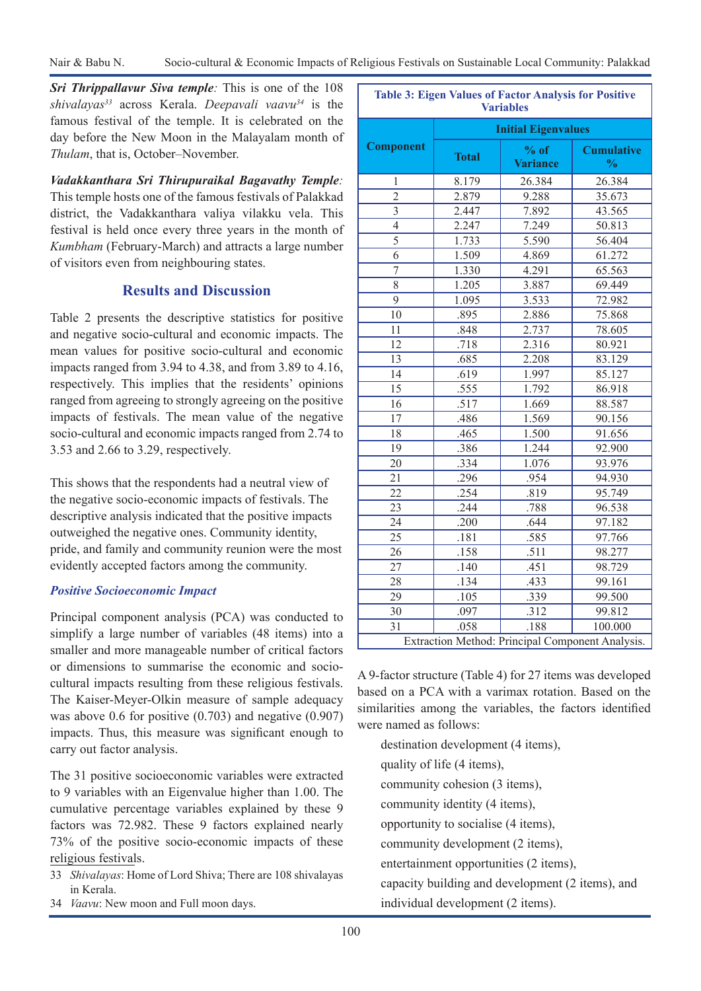*Sri Thrippallavur Siva temple:* This is one of the 108 *shivalayas33* across Kerala. *Deepavali vaavu34* is the famous festival of the temple. It is celebrated on the day before the New Moon in the Malayalam month of *Thulam*, that is, October–November.

*Vadakkanthara Sri Thirupuraikal Bagavathy Temple:* This temple hosts one of the famous festivals of Palakkad district, the Vadakkanthara valiya vilakku vela. This festival is held once every three years in the month of *Kumbham* (February-March) and attracts a large number of visitors even from neighbouring states.

## **Results and Discussion**

Table 2 presents the descriptive statistics for positive and negative socio-cultural and economic impacts. The mean values for positive socio-cultural and economic impacts ranged from 3.94 to 4.38, and from 3.89 to 4.16, respectively. This implies that the residents' opinions ranged from agreeing to strongly agreeing on the positive impacts of festivals. The mean value of the negative socio-cultural and economic impacts ranged from 2.74 to 3.53 and 2.66 to 3.29, respectively.

This shows that the respondents had a neutral view of the negative socio-economic impacts of festivals. The descriptive analysis indicated that the positive impacts outweighed the negative ones. Community identity, pride, and family and community reunion were the most evidently accepted factors among the community.

### *Positive Socioeconomic Impact*

Principal component analysis (PCA) was conducted to simplify a large number of variables (48 items) into a smaller and more manageable number of critical factors or dimensions to summarise the economic and sociocultural impacts resulting from these religious festivals. The Kaiser-Meyer-Olkin measure of sample adequacy was above 0.6 for positive (0.703) and negative (0.907) impacts. Thus, this measure was significant enough to carry out factor analysis.

The 31 positive socioeconomic variables were extracted to 9 variables with an Eigenvalue higher than 1.00. The cumulative percentage variables explained by these 9 factors was 72.982. These 9 factors explained nearly 73% of the positive socio-economic impacts of these religious festivals.

- 33 *Shivalayas*: Home of Lord Shiva; There are 108 shivalayas in Kerala.
- 34 *Vaavu*: New moon and Full moon days.

| <b>Variables</b>                                 |              |                           |                                    |  |
|--------------------------------------------------|--------------|---------------------------|------------------------------------|--|
| <b>Initial Eigenvalues</b>                       |              |                           |                                    |  |
| <b>Component</b>                                 | <b>Total</b> | $%$ of<br><b>Variance</b> | <b>Cumulative</b><br>$\frac{0}{0}$ |  |
| 1                                                | 8.179        | 26.384                    | 26.384                             |  |
| $\overline{2}$                                   | 2.879        | 9.288                     | 35.673                             |  |
| $\overline{3}$                                   | 2.447        | 7.892                     | 43.565                             |  |
| $\overline{4}$                                   | 2.247        | 7.249                     | 50.813                             |  |
| $\overline{5}$                                   | 1.733        | 5.590                     | 56.404                             |  |
| $\overline{6}$                                   | 1.509        | 4.869                     | 61.272                             |  |
| $\boldsymbol{7}$                                 | 1.330        | 4.291                     | 65.563                             |  |
| 8                                                | 1.205        | 3.887                     | 69.449                             |  |
| 9                                                | 1.095        | 3.533                     | 72.982                             |  |
| 10                                               | .895         | 2.886                     | 75.868                             |  |
| 11                                               | .848         | 2.737                     | 78.605                             |  |
| 12                                               | .718         | 2.316                     | 80.921                             |  |
| 13                                               | .685         | 2.208                     | 83.129                             |  |
| 14                                               | .619         | 1.997                     | 85.127                             |  |
| 15                                               | .555         | 1.792                     | 86.918                             |  |
| 16                                               | .517         | 1.669                     | 88.587                             |  |
| 17                                               | .486         | 1.569                     | 90.156                             |  |
| 18                                               | .465         | 1.500                     | 91.656                             |  |
| 19                                               | .386         | 1.244                     | 92.900                             |  |
| 20                                               | .334         | 1.076                     | 93.976                             |  |
| 21                                               | .296         | .954                      | 94.930                             |  |
| $\overline{22}$                                  | .254         | .819                      | 95.749                             |  |
| $\overline{23}$                                  | .244         | .788                      | 96.538                             |  |
| 24                                               | .200         | .644                      | 97.182                             |  |
| $\overline{25}$                                  | .181         | .585                      | 97.766                             |  |
| 26                                               | .158         | .511                      | 98.277                             |  |
| $\overline{27}$                                  | .140         | .451                      | 98.729                             |  |
| 28                                               | .134         | .433                      | 99.161                             |  |
| 29                                               | .105         | .339                      | 99.500                             |  |
| 30                                               | .097         | .312                      | 99.812                             |  |
| 31                                               | .058         | .188                      | 100.000                            |  |
| Extraction Method: Principal Component Analysis. |              |                           |                                    |  |

**Table 3: Eigen Values of Factor Analysis for Positive** 

A 9-factor structure (Table 4) for 27 items was developed based on a PCA with a varimax rotation. Based on the similarities among the variables, the factors identified were named as follows:

destination development (4 items), quality of life (4 items), community cohesion (3 items), community identity (4 items), opportunity to socialise (4 items), community development (2 items), entertainment opportunities (2 items), capacity building and development (2 items), and individual development (2 items).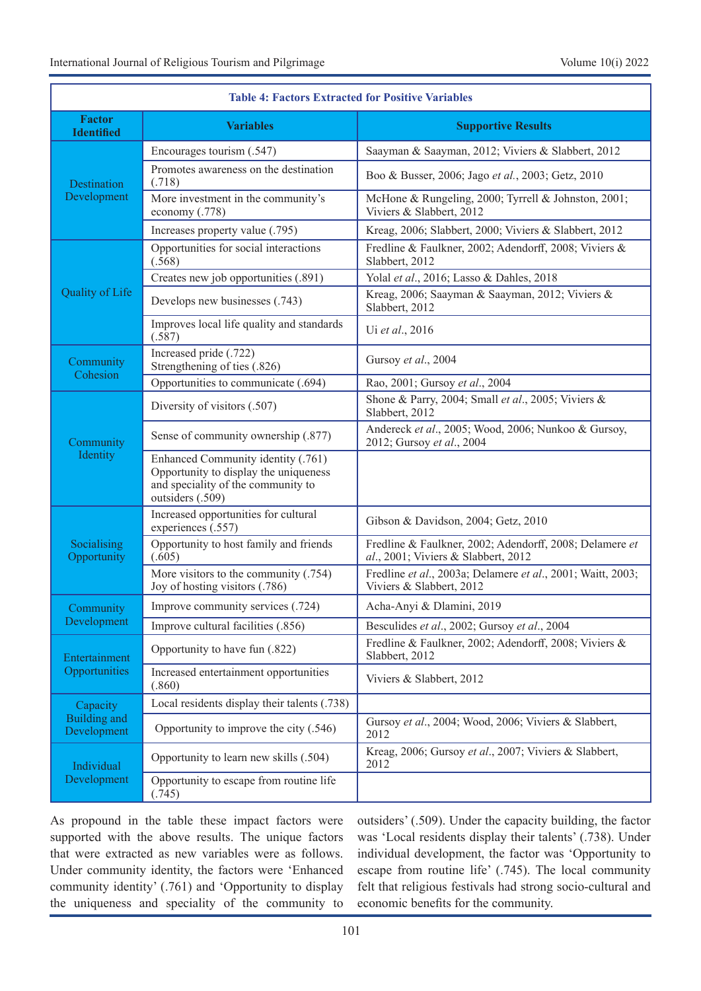| <b>Table 4: Factors Extracted for Positive Variables</b> |                                                                                                                                       |                                                                                                |  |
|----------------------------------------------------------|---------------------------------------------------------------------------------------------------------------------------------------|------------------------------------------------------------------------------------------------|--|
| <b>Factor</b><br><b>Identified</b>                       | <b>Variables</b>                                                                                                                      | <b>Supportive Results</b>                                                                      |  |
|                                                          | Encourages tourism (.547)                                                                                                             | Saayman & Saayman, 2012; Viviers & Slabbert, 2012                                              |  |
| Destination<br>Development                               | Promotes awareness on the destination<br>(.718)                                                                                       | Boo & Busser, 2006; Jago et al., 2003; Getz, 2010                                              |  |
|                                                          | More investment in the community's<br>economy (.778)                                                                                  | McHone & Rungeling, 2000; Tyrrell & Johnston, 2001;<br>Viviers & Slabbert, 2012                |  |
|                                                          | Increases property value (.795)                                                                                                       | Kreag, 2006; Slabbert, 2000; Viviers & Slabbert, 2012                                          |  |
|                                                          | Opportunities for social interactions<br>(.568)                                                                                       | Fredline & Faulkner, 2002; Adendorff, 2008; Viviers &<br>Slabbert, 2012                        |  |
|                                                          | Creates new job opportunities (.891)                                                                                                  | Yolal et al., 2016; Lasso & Dahles, 2018                                                       |  |
| Quality of Life                                          | Develops new businesses (.743)                                                                                                        | Kreag, 2006; Saayman & Saayman, 2012; Viviers &<br>Slabbert, 2012                              |  |
|                                                          | Improves local life quality and standards<br>(.587)                                                                                   | Ui et al., 2016                                                                                |  |
| Community<br>Cohesion                                    | Increased pride (.722)<br>Strengthening of ties (.826)                                                                                | Gursoy et al., 2004                                                                            |  |
|                                                          | Opportunities to communicate (.694)                                                                                                   | Rao, 2001; Gursoy et al., 2004                                                                 |  |
|                                                          | Diversity of visitors (.507)                                                                                                          | Shone & Parry, 2004; Small et al., 2005; Viviers &<br>Slabbert, 2012                           |  |
| Community                                                | Sense of community ownership (.877)                                                                                                   | Andereck et al., 2005; Wood, 2006; Nunkoo & Gursoy,<br>2012; Gursoy et al., 2004               |  |
| Identity                                                 | Enhanced Community identity (.761)<br>Opportunity to display the uniqueness<br>and speciality of the community to<br>outsiders (.509) |                                                                                                |  |
|                                                          | Increased opportunities for cultural<br>experiences (.557)                                                                            | Gibson & Davidson, 2004; Getz, 2010                                                            |  |
| Socialising<br>Opportunity                               | Opportunity to host family and friends<br>(.605)                                                                                      | Fredline & Faulkner, 2002; Adendorff, 2008; Delamere et<br>al., 2001; Viviers & Slabbert, 2012 |  |
|                                                          | More visitors to the community (.754)<br>Joy of hosting visitors (.786)                                                               | Fredline et al., 2003a; Delamere et al., 2001; Waitt, 2003;<br>Viviers & Slabbert, 2012        |  |
| Community                                                | Improve community services (.724)                                                                                                     | Acha-Anyi & Dlamini, 2019                                                                      |  |
| Development                                              | Improve cultural facilities (.856)                                                                                                    | Besculides et al., 2002; Gursoy et al., 2004                                                   |  |
| Entertainment                                            | Opportunity to have fun (.822)                                                                                                        | Fredline & Faulkner, 2002; Adendorff, 2008; Viviers &<br>Slabbert, 2012                        |  |
| Opportunities                                            | Increased entertainment opportunities<br>(.860)                                                                                       | Viviers & Slabbert, 2012                                                                       |  |
| Capacity<br>Building and<br>Development                  | Local residents display their talents (.738)                                                                                          |                                                                                                |  |
|                                                          | Opportunity to improve the city (.546)                                                                                                | Gursoy et al., 2004; Wood, 2006; Viviers & Slabbert,<br>2012                                   |  |
| Individual                                               | Opportunity to learn new skills (.504)                                                                                                | Kreag, 2006; Gursoy et al., 2007; Viviers & Slabbert,<br>2012                                  |  |
| Development                                              | Opportunity to escape from routine life<br>(.745)                                                                                     |                                                                                                |  |

As propound in the table these impact factors were supported with the above results. The unique factors that were extracted as new variables were as follows. Under community identity, the factors were 'Enhanced community identity' (.761) and 'Opportunity to display the uniqueness and speciality of the community to

outsiders' (.509). Under the capacity building, the factor was 'Local residents display their talents' (.738). Under individual development, the factor was 'Opportunity to escape from routine life' (.745). The local community felt that religious festivals had strong socio-cultural and economic benefits for the community.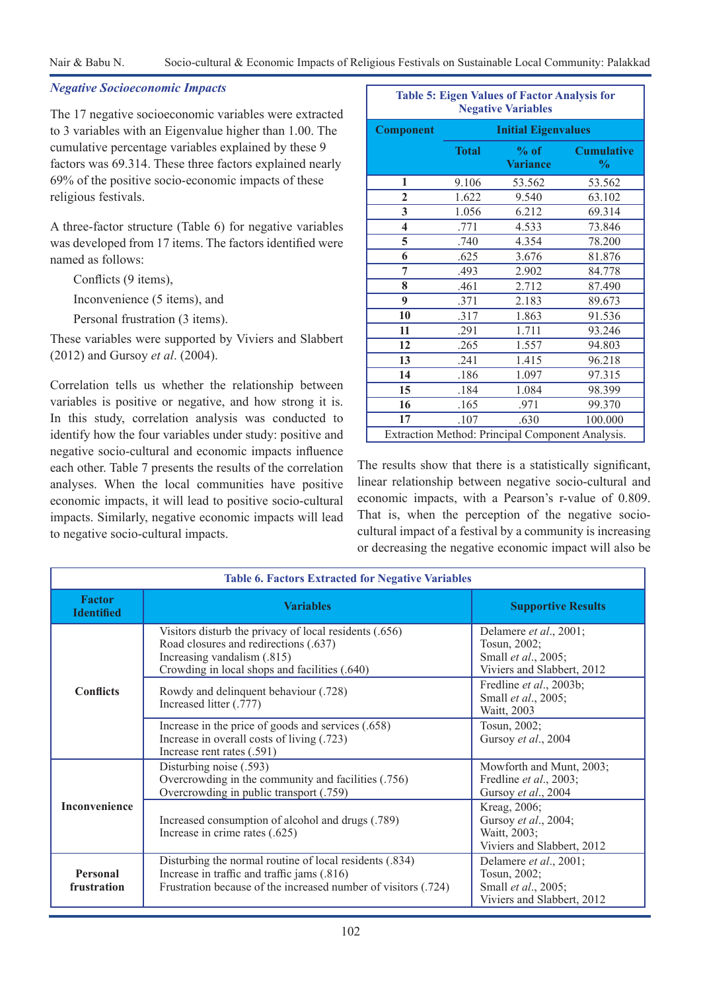### *Negative Socioeconomic Impacts*

The 17 negative socioeconomic variables were extracted to 3 variables with an Eigenvalue higher than 1.00. The cumulative percentage variables explained by these 9 factors was 69.314. These three factors explained nearly 69% of the positive socio-economic impacts of these religious festivals.

A three-factor structure (Table 6) for negative variables was developed from 17 items. The factors identified were named as follows:

Conflicts (9 items),

Inconvenience (5 items), and

Personal frustration (3 items).

These variables were supported by Viviers and Slabbert (2012) and Gursoy *et al*. (2004).

Correlation tells us whether the relationship between variables is positive or negative, and how strong it is. In this study, correlation analysis was conducted to identify how the four variables under study: positive and negative socio-cultural and economic impacts influence each other. Table 7 presents the results of the correlation analyses. When the local communities have positive economic impacts, it will lead to positive socio-cultural impacts. Similarly, negative economic impacts will lead to negative socio-cultural impacts.

| <b>Table 5: Eigen Values of Factor Analysis for</b><br><b>Negative Variables</b> |                            |                           |                                    |  |
|----------------------------------------------------------------------------------|----------------------------|---------------------------|------------------------------------|--|
| <b>Component</b>                                                                 | <b>Initial Eigenvalues</b> |                           |                                    |  |
|                                                                                  | <b>Total</b>               | $%$ of<br><b>Variance</b> | <b>Cumulative</b><br>$\frac{0}{0}$ |  |
| 1                                                                                | 9.106                      | 53.562                    | 53.562                             |  |
| $\overline{2}$                                                                   | 1.622                      | 9.540                     | 63.102                             |  |
| 3                                                                                | 1.056                      | 6.212                     | 69.314                             |  |
| $\overline{\mathbf{4}}$                                                          | .771                       | 4.533                     | 73.846                             |  |
| 5                                                                                | .740                       | 4.354                     | 78.200                             |  |
| 6                                                                                | .625                       | 3.676                     | 81.876                             |  |
| 7                                                                                | .493                       | 2.902                     | 84.778                             |  |
| 8                                                                                | .461                       | 2.712                     | 87.490                             |  |
| 9                                                                                | .371                       | 2.183                     | 89.673                             |  |
| 10                                                                               | .317                       | 1.863                     | 91.536                             |  |
| 11                                                                               | .291                       | 1.711                     | 93.246                             |  |
| 12                                                                               | .265                       | 1.557                     | 94.803                             |  |
| 13                                                                               | .241                       | 1.415                     | 96.218                             |  |
| 14                                                                               | .186                       | 1.097                     | 97.315                             |  |
| 15                                                                               | .184                       | 1.084<br>98.399           |                                    |  |
| 16                                                                               | .165                       | .971                      | 99.370                             |  |
| 17                                                                               | .107                       | .630                      | 100.000                            |  |
| Extraction Method: Principal Component Analysis.                                 |                            |                           |                                    |  |

The results show that there is a statistically significant, linear relationship between negative socio-cultural and economic impacts, with a Pearson's r-value of 0.809. That is, when the perception of the negative sociocultural impact of a festival by a community is increasing or decreasing the negative economic impact will also be

| <b>Table 6. Factors Extracted for Negative Variables</b> |                                                                                                                                                                                 |                                                                                                     |  |  |
|----------------------------------------------------------|---------------------------------------------------------------------------------------------------------------------------------------------------------------------------------|-----------------------------------------------------------------------------------------------------|--|--|
| <b>Factor</b><br><b>Identified</b>                       | <b>Variables</b>                                                                                                                                                                | <b>Supportive Results</b>                                                                           |  |  |
| <b>Conflicts</b>                                         | Visitors disturb the privacy of local residents (.656)<br>Road closures and redirections (.637)<br>Increasing vandalism (.815)<br>Crowding in local shops and facilities (.640) | Delamere <i>et al.</i> , 2001;<br>Tosun, 2002;<br>Small et al., 2005;<br>Viviers and Slabbert, 2012 |  |  |
|                                                          | Rowdy and delinquent behaviour (.728)<br>Increased litter (.777)                                                                                                                | Fredline et al., 2003b;<br>Small et al., 2005;<br>Waitt, 2003                                       |  |  |
|                                                          | Increase in the price of goods and services (.658)<br>Increase in overall costs of living (.723)<br>Increase rent rates (.591)                                                  | Tosun, 2002;<br>Gursoy et al., 2004                                                                 |  |  |
| Inconvenience                                            | Disturbing noise (.593)<br>Overcrowding in the community and facilities (.756)<br>Overcrowding in public transport (.759)                                                       | Mowforth and Munt, 2003;<br>Fredline et al., 2003;<br>Gursoy et al., 2004                           |  |  |
|                                                          | Increased consumption of alcohol and drugs (.789)<br>Increase in crime rates (.625)                                                                                             | Kreag, 2006;<br>Gursoy et al., 2004;<br>Waitt, 2003;<br>Viviers and Slabbert, 2012                  |  |  |
| Personal<br>frustration                                  | Disturbing the normal routine of local residents (.834)<br>Increase in traffic and traffic jams (.816)<br>Frustration because of the increased number of visitors (.724)        | Delamere et al., 2001;<br>Tosun, 2002;<br>Small et al., 2005;<br>Viviers and Slabbert, 2012         |  |  |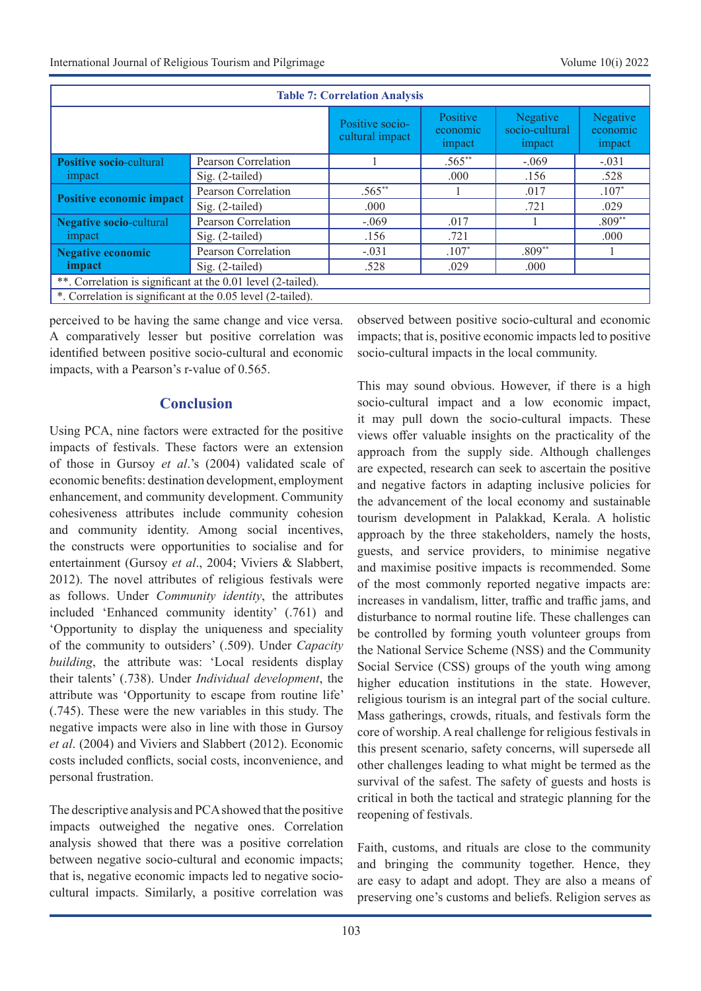| <b>Table 7: Correlation Analysis</b>                         |                     |                                    |                                 |                                      |                                |  |
|--------------------------------------------------------------|---------------------|------------------------------------|---------------------------------|--------------------------------------|--------------------------------|--|
|                                                              |                     | Positive socio-<br>cultural impact | Positive<br>economic.<br>impact | Negative<br>socio-cultural<br>impact | Negative<br>economic<br>impact |  |
| <b>Positive socio-cultural</b>                               | Pearson Correlation |                                    | $.565***$                       | $-.069$                              | $-.031$                        |  |
| impact                                                       | Sig. (2-tailed)     |                                    | .000                            | .156                                 | .528                           |  |
| Positive economic impact                                     | Pearson Correlation | $.565**$                           |                                 | .017                                 | $.107*$                        |  |
|                                                              | Sig. (2-tailed)     | .000.                              |                                 | .721                                 | .029                           |  |
| Negative socio-cultural                                      | Pearson Correlation | $-.069$                            | .017                            |                                      | $.809**$                       |  |
| impact                                                       | Sig. (2-tailed)     | .156                               | .721                            |                                      | .000.                          |  |
| <b>Negative economic</b>                                     | Pearson Correlation | $-.031$                            | $.107*$                         | $.809**$                             |                                |  |
| impact                                                       | Sig. (2-tailed)     | .528                               | .029                            | .000                                 |                                |  |
| **. Correlation is significant at the 0.01 level (2-tailed). |                     |                                    |                                 |                                      |                                |  |
| *. Correlation is significant at the 0.05 level (2-tailed).  |                     |                                    |                                 |                                      |                                |  |

perceived to be having the same change and vice versa. A comparatively lesser but positive correlation was identified between positive socio-cultural and economic impacts, with a Pearson's r-value of 0.565.

## **Conclusion**

Using PCA, nine factors were extracted for the positive impacts of festivals. These factors were an extension of those in Gursoy *et al*.'s (2004) validated scale of economic benefits: destination development, employment enhancement, and community development. Community cohesiveness attributes include community cohesion and community identity. Among social incentives, the constructs were opportunities to socialise and for entertainment (Gursoy *et al*., 2004; Viviers & Slabbert, 2012). The novel attributes of religious festivals were as follows. Under *Community identity*, the attributes included 'Enhanced community identity' (.761) and 'Opportunity to display the uniqueness and speciality of the community to outsiders' (.509). Under *Capacity building*, the attribute was: 'Local residents display their talents' (.738). Under *Individual development*, the attribute was 'Opportunity to escape from routine life' (.745). These were the new variables in this study. The negative impacts were also in line with those in Gursoy *et al*. (2004) and Viviers and Slabbert (2012). Economic costs included conflicts, social costs, inconvenience, and personal frustration.

The descriptive analysis and PCA showed that the positive impacts outweighed the negative ones. Correlation analysis showed that there was a positive correlation between negative socio-cultural and economic impacts; that is, negative economic impacts led to negative sociocultural impacts. Similarly, a positive correlation was

observed between positive socio-cultural and economic impacts; that is, positive economic impacts led to positive socio-cultural impacts in the local community.

This may sound obvious. However, if there is a high socio-cultural impact and a low economic impact, it may pull down the socio-cultural impacts. These views offer valuable insights on the practicality of the approach from the supply side. Although challenges are expected, research can seek to ascertain the positive and negative factors in adapting inclusive policies for the advancement of the local economy and sustainable tourism development in Palakkad, Kerala. A holistic approach by the three stakeholders, namely the hosts, guests, and service providers, to minimise negative and maximise positive impacts is recommended. Some of the most commonly reported negative impacts are: increases in vandalism, litter, traffic and traffic jams, and disturbance to normal routine life. These challenges can be controlled by forming youth volunteer groups from the National Service Scheme (NSS) and the Community Social Service (CSS) groups of the youth wing among higher education institutions in the state. However, religious tourism is an integral part of the social culture. Mass gatherings, crowds, rituals, and festivals form the core of worship. A real challenge for religious festivals in this present scenario, safety concerns, will supersede all other challenges leading to what might be termed as the survival of the safest. The safety of guests and hosts is critical in both the tactical and strategic planning for the reopening of festivals.

Faith, customs, and rituals are close to the community and bringing the community together. Hence, they are easy to adapt and adopt. They are also a means of preserving one's customs and beliefs. Religion serves as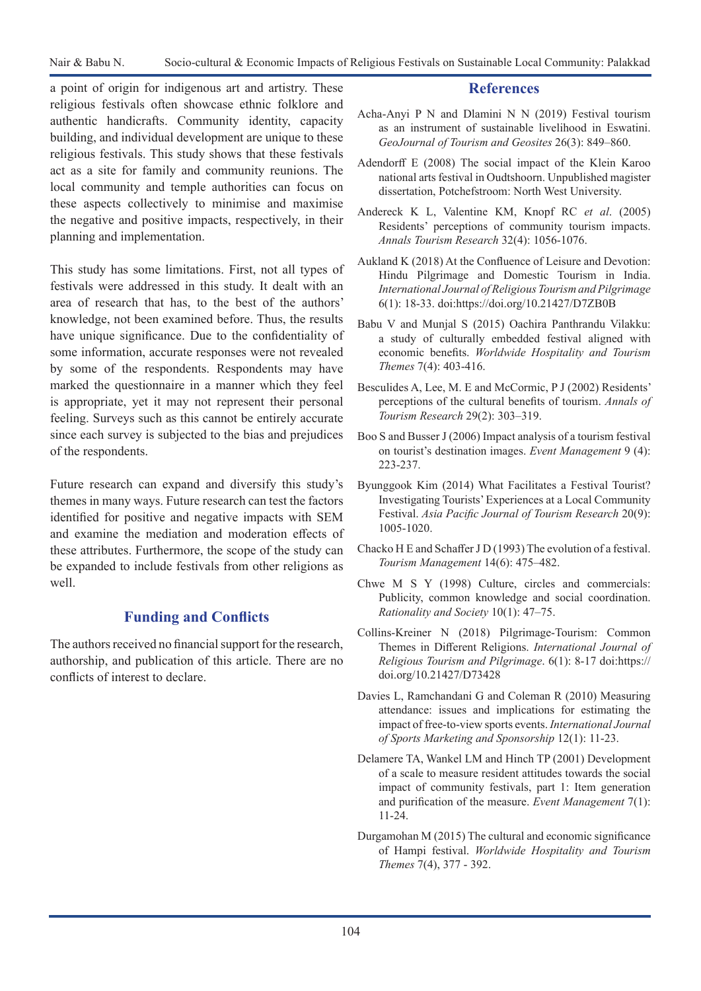a point of origin for indigenous art and artistry. These religious festivals often showcase ethnic folklore and authentic handicrafts. Community identity, capacity building, and individual development are unique to these religious festivals. This study shows that these festivals act as a site for family and community reunions. The local community and temple authorities can focus on these aspects collectively to minimise and maximise the negative and positive impacts, respectively, in their planning and implementation.

This study has some limitations. First, not all types of festivals were addressed in this study. It dealt with an area of research that has, to the best of the authors' knowledge, not been examined before. Thus, the results have unique significance. Due to the confidentiality of some information, accurate responses were not revealed by some of the respondents. Respondents may have marked the questionnaire in a manner which they feel is appropriate, yet it may not represent their personal feeling. Surveys such as this cannot be entirely accurate since each survey is subjected to the bias and prejudices of the respondents.

Future research can expand and diversify this study's themes in many ways. Future research can test the factors identified for positive and negative impacts with SEM and examine the mediation and moderation effects of these attributes. Furthermore, the scope of the study can be expanded to include festivals from other religions as well.

# **Funding and Conflicts**

The authors received no financial support for the research, authorship, and publication of this article. There are no conflicts of interest to declare.

### **References**

- Acha-Anyi P N and Dlamini N N (2019) Festival tourism as an instrument of sustainable livelihood in Eswatini. *GeoJournal of Tourism and Geosites* 26(3): 849–860.
- Adendorff E (2008) The social impact of the Klein Karoo national arts festival in Oudtshoorn. Unpublished magister dissertation, Potchefstroom: North West University.
- Andereck K L, Valentine KM, Knopf RC *et al*. (2005) Residents' perceptions of community tourism impacts. *Annals Tourism Research* 32(4): 1056-1076.
- Aukland K (2018) At the Confluence of Leisure and Devotion: Hindu Pilgrimage and Domestic Tourism in India. *International Journal of Religious Tourism and Pilgrimage* 6(1): 18-33. doi:https://doi.org/10.21427/D7ZB0B
- Babu V and Munjal S (2015) Oachira Panthrandu Vilakku: a study of culturally embedded festival aligned with economic benefits. *Worldwide Hospitality and Tourism Themes* 7(4): 403-416.
- Besculides A, Lee, M. E and McCormic, P J (2002) Residents' perceptions of the cultural benefits of tourism. *Annals of Tourism Research* 29(2): 303–319.
- Boo S and Busser J (2006) Impact analysis of a tourism festival on tourist's destination images. *Event Management* 9 (4): 223-237.
- Byunggook Kim (2014) What Facilitates a Festival Tourist? Investigating Tourists' Experiences at a Local Community Festival. *Asia Pacific Journal of Tourism Research* 20(9): 1005-1020.
- Chacko H E and Schaffer J D (1993) The evolution of a festival. *Tourism Management* 14(6): 475–482.
- Chwe M S Y (1998) Culture, circles and commercials: Publicity, common knowledge and social coordination. *Rationality and Society* 10(1): 47–75.
- Collins-Kreiner N (2018) Pilgrimage-Tourism: Common Themes in Different Religions. *International Journal of Religious Tourism and Pilgrimage*. 6(1): 8-17 doi:https:// doi.org/10.21427/D73428
- Davies L, Ramchandani G and Coleman R (2010) Measuring attendance: issues and implications for estimating the impact of free-to-view sports events. *International Journal of Sports Marketing and Sponsorship* 12(1): 11-23.
- Delamere TA, Wankel LM and Hinch TP (2001) Development of a scale to measure resident attitudes towards the social impact of community festivals, part 1: Item generation and purification of the measure. *Event Management* 7(1): 11-24.
- Durgamohan M (2015) The cultural and economic significance of Hampi festival. *Worldwide Hospitality and Tourism Themes* 7(4), 377 - 392.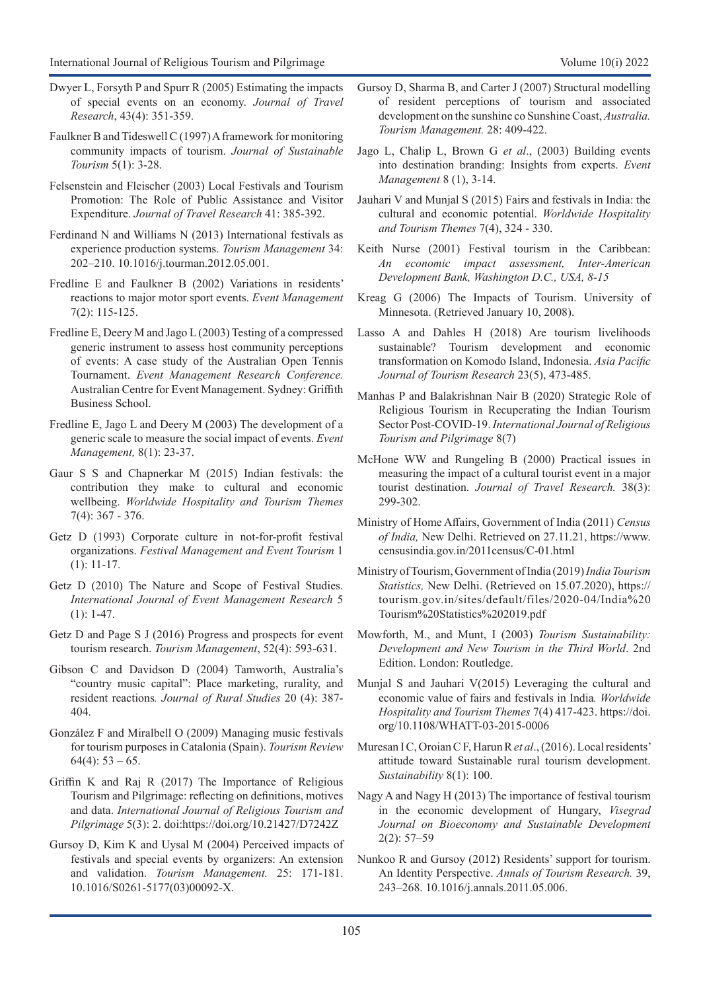- Dwyer L, Forsyth P and Spurr R (2005) Estimating the impacts of special events on an economy. *Journal of Travel Research*, 43(4): 351-359.
- Faulkner B and Tideswell C (1997) A framework for monitoring community impacts of tourism. *Journal of Sustainable Tourism* 5(1): 3-28.
- Felsenstein and Fleischer (2003) Local Festivals and Tourism Promotion: The Role of Public Assistance and Visitor Expenditure. *Journal of Travel Research* 41: 385-392.
- Ferdinand N and Williams N (2013) International festivals as experience production systems. *Tourism Management* 34: 202–210. 10.1016/j.tourman.2012.05.001.
- Fredline E and Faulkner B (2002) Variations in residents' reactions to major motor sport events. *Event Management* 7(2): 115-125.
- Fredline E, Deery M and Jago L (2003) Testing of a compressed generic instrument to assess host community perceptions of events: A case study of the Australian Open Tennis Tournament. *Event Management Research Conference.* Australian Centre for Event Management. Sydney: Griffith Business School.
- Fredline E, Jago L and Deery M (2003) The development of a generic scale to measure the social impact of events. *Event Management,* 8(1): 23-37.
- Gaur S S and Chapnerkar M (2015) Indian festivals: the contribution they make to cultural and economic wellbeing. *Worldwide Hospitality and Tourism Themes* 7(4): 367 - 376.
- Getz D (1993) Corporate culture in not-for-profit festival organizations. *Festival Management and Event Tourism* 1 (1): 11-17.
- Getz D (2010) The Nature and Scope of Festival Studies. *International Journal of Event Management Research* 5  $(1): 1-47.$
- Getz D and Page S J (2016) Progress and prospects for event tourism research. *Tourism Management*, 52(4): 593-631.
- Gibson C and Davidson D (2004) Tamworth, Australia's "country music capital": Place marketing, rurality, and resident reactions*. Journal of Rural Studies* 20 (4): 387- 404.
- González F and Miralbell O (2009) Managing music festivals for tourism purposes in Catalonia (Spain). *Tourism Review*  $64(4): 53 - 65.$
- Griffin K and Raj R (2017) The Importance of Religious Tourism and Pilgrimage: reflecting on definitions, motives and data. *International Journal of Religious Tourism and Pilgrimage* 5(3): 2. doi:https://doi.org/10.21427/D7242Z
- Gursoy D, Kim K and Uysal M (2004) Perceived impacts of festivals and special events by organizers: An extension and validation. *Tourism Management.* 25: 171-181. 10.1016/S0261-5177(03)00092-X.
- Gursoy D, Sharma B, and Carter J (2007) Structural modelling of resident perceptions of tourism and associated development on the sunshine co Sunshine Coast, *Australia. Tourism Management.* 28: 409-422.
- Jago L, Chalip L, Brown G *et al*., (2003) Building events into destination branding: Insights from experts. *Event Management* 8 (1), 3-14.
- Jauhari V and Munjal S (2015) Fairs and festivals in India: the cultural and economic potential. *Worldwide Hospitality and Tourism Themes* 7(4), 324 - 330.
- Keith Nurse (2001) Festival tourism in the Caribbean: *An economic impact assessment, Inter-American Development Bank, Washington D.C., USA, 8-15*
- Kreag G (2006) The Impacts of Tourism. University of Minnesota. (Retrieved January 10, 2008).
- Lasso A and Dahles H (2018) Are tourism livelihoods sustainable? Tourism development and economic transformation on Komodo Island, Indonesia. *Asia Pacific Journal of Tourism Research* 23(5), 473-485.
- Manhas P and Balakrishnan Nair B (2020) Strategic Role of Religious Tourism in Recuperating the Indian Tourism Sector Post-COVID-19. *International Journal of Religious Tourism and Pilgrimage* 8(7)
- McHone WW and Rungeling B (2000) Practical issues in measuring the impact of a cultural tourist event in a major tourist destination. *Journal of Travel Research.* 38(3): 299-302.
- Ministry of Home Affairs, Government of India (2011) *Census of India,* New Delhi. Retrieved on 27.11.21, https://www. censusindia.gov.in/2011census/C-01.html
- Ministry of Tourism, Government of India (2019) *India Tourism Statistics,* New Delhi. (Retrieved on 15.07.2020), https:// tourism.gov.in/sites/default/files/2020-04/India%20 Tourism%20Statistics%202019.pdf
- Mowforth, M., and Munt, I (2003) *Tourism Sustainability: Development and New Tourism in the Third World*. 2nd Edition. London: Routledge.
- Munjal S and Jauhari V(2015) Leveraging the cultural and economic value of fairs and festivals in India*. Worldwide Hospitality and Tourism Themes* 7(4) 417-423. https://doi. org/10.1108/WHATT-03-2015-0006
- Muresan I C, Oroian C F, Harun R *et al*., (2016). Local residents' attitude toward Sustainable rural tourism development. *Sustainability* 8(1): 100.
- Nagy A and Nagy H (2013) The importance of festival tourism in the economic development of Hungary, *Visegrad Journal on Bioeconomy and Sustainable Development* 2(2): 57–59
- Nunkoo R and Gursoy (2012) Residents' support for tourism. An Identity Perspective. *Annals of Tourism Research.* 39, 243–268. 10.1016/j.annals.2011.05.006.